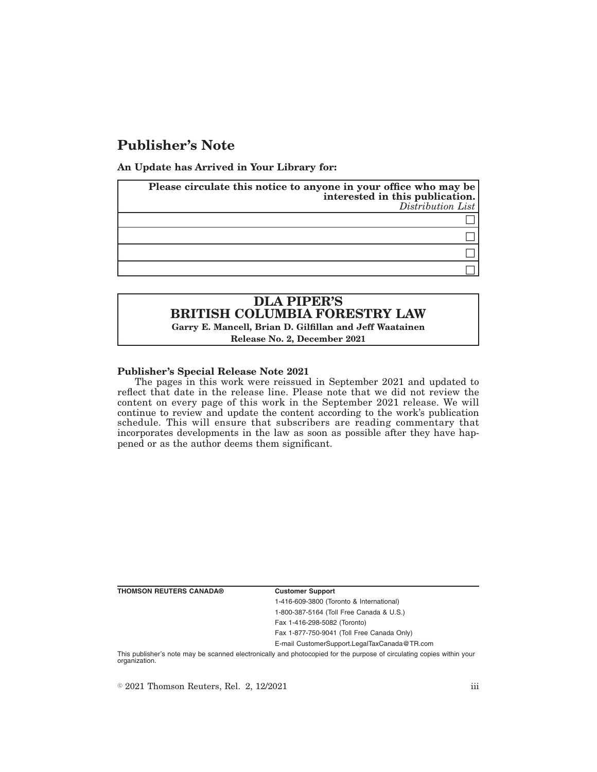# **Publisher's Note**

**An Update has Arrived in Your Library for:**

| Please circulate this notice to anyone in your office who may be<br>interested in this publication. | Distribution List |
|-----------------------------------------------------------------------------------------------------|-------------------|
|                                                                                                     |                   |
|                                                                                                     |                   |
|                                                                                                     |                   |
|                                                                                                     |                   |

## **DLA PIPER'S BRITISH COLUMBIA FORESTRY LAW Garry E. Mancell, Brian D. Gilfillan and Jeff Waatainen**

**Release No. 2, December 2021**

#### **Publisher's Special Release Note 2021**

The pages in this work were reissued in September 2021 and updated to reflect that date in the release line. Please note that we did not review the content on every page of this work in the September 2021 release. We will continue to review and update the content according to the work's publication schedule. This will ensure that subscribers are reading commentary that incorporates developments in the law as soon as possible after they have happened or as the author deems them significant.

**THOMSON REUTERS CANADA® Customer Support**

1-416-609-3800 (Toronto & International) 1-800-387-5164 (Toll Free Canada & U.S.) Fax 1-416-298-5082 (Toronto)

Fax 1-877-750-9041 (Toll Free Canada Only)

E-mail CustomerSupport.LegalTaxCanada@TR.com

This publisher's note may be scanned electronically and photocopied for the purpose of circulating copies within your organization.

 $\degree$  2021 Thomson Reuters, Rel. 2, 12/2021 iii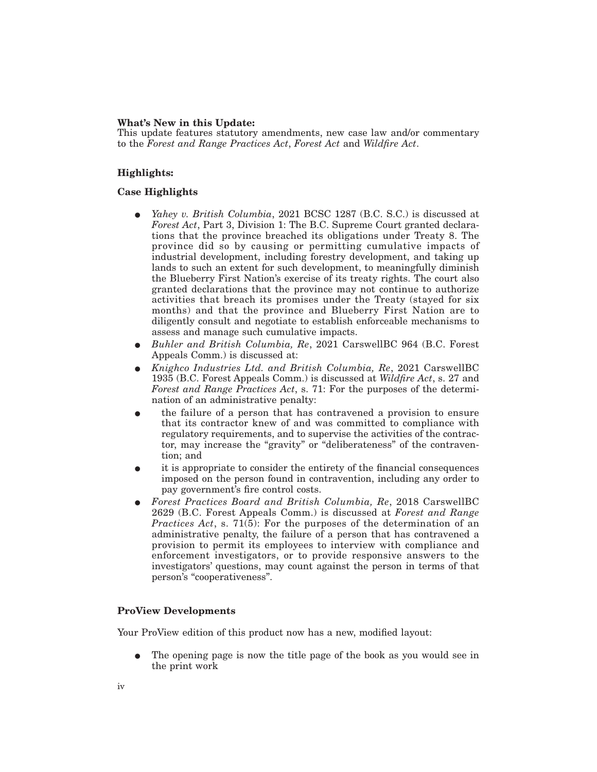#### **What's New in this Update:**

This update features statutory amendments, new case law and/or commentary to the *Forest and Range Practices Act*, *Forest Act* and *Wildfire Act*.

### **Highlights:**

#### **Case Highlights**

- Yahey v. British Columbia, 2021 BCSC 1287 (B.C. S.C.) is discussed at *Forest Act*, Part 3, Division 1: The B.C. Supreme Court granted declarations that the province breached its obligations under Treaty 8. The province did so by causing or permitting cumulative impacts of industrial development, including forestry development, and taking up lands to such an extent for such development, to meaningfully diminish the Blueberry First Nation's exercise of its treaty rights. The court also granted declarations that the province may not continue to authorize activities that breach its promises under the Treaty (stayed for six months) and that the province and Blueberry First Nation are to diligently consult and negotiate to establish enforceable mechanisms to assess and manage such cumulative impacts.
- E *Buhler and British Columbia, Re*, 2021 CarswellBC 964 (B.C. Forest Appeals Comm.) is discussed at:
- E *Knighco Industries Ltd. and British Columbia, Re*, 2021 CarswellBC 1935 (B.C. Forest Appeals Comm.) is discussed at *Wildfire Act*, s. 27 and *Forest and Range Practices Act*, s. 71: For the purposes of the determination of an administrative penalty:
- the failure of a person that has contravened a provision to ensure that its contractor knew of and was committed to compliance with regulatory requirements, and to supervise the activities of the contractor, may increase the "gravity" or "deliberateness" of the contravention; and
- E it is appropriate to consider the entirety of the financial consequences imposed on the person found in contravention, including any order to pay government's fire control costs.
- E *Forest Practices Board and British Columbia, Re*, 2018 CarswellBC 2629 (B.C. Forest Appeals Comm.) is discussed at *Forest and Range Practices Act*, s. 71(5): For the purposes of the determination of an administrative penalty, the failure of a person that has contravened a provision to permit its employees to interview with compliance and enforcement investigators, or to provide responsive answers to the investigators' questions, may count against the person in terms of that person's "cooperativeness".

## **ProView Developments**

Your ProView edition of this product now has a new, modified layout:

E The opening page is now the title page of the book as you would see in the print work